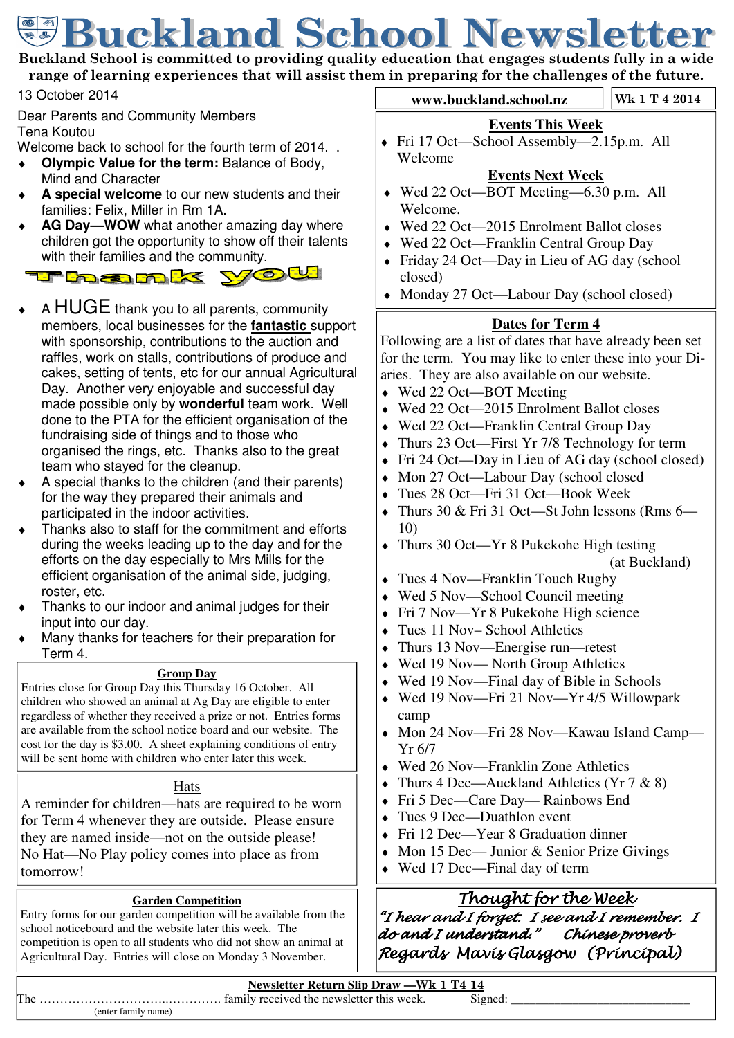# **Buckland School Newsletter**

**Buckland School is committed to providing quality education that engages students fully in a wide range of learning experiences that will assist them in preparing for the challenges of the future.** 

13 October 2014

Dear Parents and Community Members Tena Koutou

Welcome back to school for the fourth term of 2014.

- **Olympic Value for the term: Balance of Body, polytically** Mind and Character
- A special welcome to our new students and their families: Felix, Miller in Rm 1A.
- AG Day-WOW what another amazing day where children got the opportunity to show off their talents



- A HUGE thank you to all parents, community members, local businesses for the **fantastic** support with sponsorship, contributions to the auction and raffles, work on stalls, contributions of produce and cakes, setting of tents, etc for our annual Agricultural Day. Another very enjoyable and successful day made possible only by **wonderful** team work. Well done to the PTA for the efficient organisation of the fundraising side of things and to those who organised the rings, etc. Thanks also to the great team who stayed for the cleanup.
- A special thanks to the children (and their parents) for the way they prepared their animals and participated in the indoor activities.
- Thanks also to staff for the commitment and efforts during the weeks leading up to the day and for the efforts on the day especially to Mrs Mills for the efficient organisation of the animal side, judging, roster, etc.
- Thanks to our indoor and animal judges for their input into our day.
- Many thanks for teachers for their preparation for Term 4.

### **Group Day**

Entries close for Group Day this Thursday 16 October. All children who showed an animal at Ag Day are eligible to enter regardless of whether they received a prize or not. Entries forms are available from the school notice board and our website. The cost for the day is \$3.00. A sheet explaining conditions of entry will be sent home with children who enter later this week.

### Hats

A reminder for children—hats are required to be worn for Term 4 whenever they are outside. Please ensure they are named inside—not on the outside please! No Hat—No Play policy comes into place as from tomorrow!

### **Garden Competition**

Entry forms for our garden competition will be available from the school noticeboard and the website later this week. The competition is open to all students who did not show an animal at Agricultural Day. Entries will close on Monday 3 November.

**www.buckland.school.nz**  $\vert$  Wk 1 T 4 2014

### **Events This Week**

♦ Fri 17 Oct—School Assembly—2.15p.m. All Welcome

### **Events Next Week**

- $\triangleleft$  Wed 22 Oct—BOT Meeting—6.30 p.m. All Welcome.
- ♦ Wed 22 Oct—2015 Enrolment Ballot closes
- ♦ Wed 22 Oct—Franklin Central Group Day
- ♦ Friday 24 Oct—Day in Lieu of AG day (school closed)
- ♦ Monday 27 Oct—Labour Day (school closed)

### **Dates for Term 4**

Following are a list of dates that have already been set for the term. You may like to enter these into your Diaries. They are also available on our website.

- ♦ Wed 22 Oct—BOT Meeting
- ♦ Wed 22 Oct—2015 Enrolment Ballot closes
- ♦ Wed 22 Oct—Franklin Central Group Day
- ♦ Thurs 23 Oct—First Yr 7/8 Technology for term
- ♦ Fri 24 Oct—Day in Lieu of AG day (school closed)
- ♦ Mon 27 Oct—Labour Day (school closed
- ♦ Tues 28 Oct—Fri 31 Oct—Book Week
- Thurs 30  $&$  Fri 31 Oct—St John lessons (Rms 6— 10)
- Thurs 30 Oct—Yr 8 Pukekohe High testing

- ♦ Tues 4 Nov—Franklin Touch Rugby
- ♦ Wed 5 Nov—School Council meeting
- ♦ Fri 7 Nov—Yr 8 Pukekohe High science
- $\triangle$  Tues 11 Nov– School Athletics
- Thurs 13 Nov—Energise run—retest
- ♦ Wed 19 Nov— North Group Athletics
- ♦ Wed 19 Nov—Final day of Bible in Schools
- ♦ Wed 19 Nov—Fri 21 Nov—Yr 4/5 Willowpark camp
- ♦ Mon 24 Nov—Fri 28 Nov—Kawau Island Camp— Yr 6/7
- ♦ Wed 26 Nov—Franklin Zone Athletics
- ♦ Thurs 4 Dec—Auckland Athletics (Yr 7 & 8)
- ♦ Fri 5 Dec—Care Day— Rainbows End
- $\triangle$  Tues 9 Dec—Duathlon event
- ♦ Fri 12 Dec—Year 8 Graduation dinner
- ♦ Mon 15 Dec— Junior & Senior Prize Givings
- ♦ Wed 17 Dec—Final day of term

## Thought for the Week

"I hear and I forget. I see and I remember. I do and I understand." Chínese proverb Regards Mavis Glasgow (Principal)

**Newsletter Return Slip Draw —Wk 1 T4 14** The …………………………..…………. family received the newsletter this week. Signed: \_\_\_\_\_\_\_\_\_\_\_\_\_\_\_\_\_\_\_\_\_\_\_\_\_\_\_\_\_

(enter family name)

 <sup>(</sup>at Buckland)